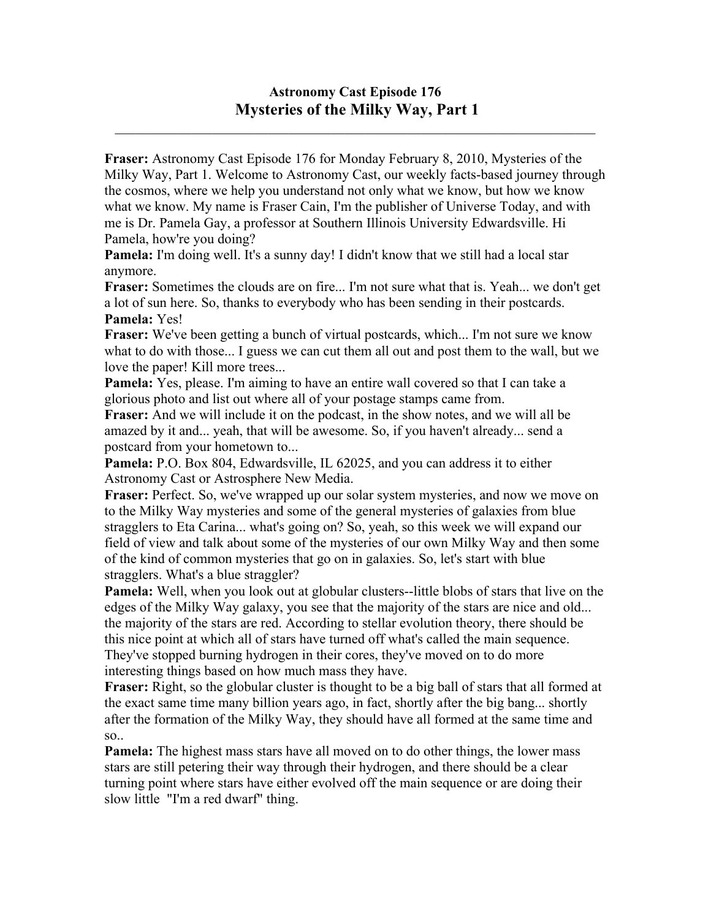## **Astronomy Cast Episode 176 Mysteries of the Milky Way, Part 1**

 $\mathcal{L}_\mathcal{L} = \mathcal{L}_\mathcal{L} = \mathcal{L}_\mathcal{L} = \mathcal{L}_\mathcal{L} = \mathcal{L}_\mathcal{L} = \mathcal{L}_\mathcal{L} = \mathcal{L}_\mathcal{L} = \mathcal{L}_\mathcal{L} = \mathcal{L}_\mathcal{L} = \mathcal{L}_\mathcal{L} = \mathcal{L}_\mathcal{L} = \mathcal{L}_\mathcal{L} = \mathcal{L}_\mathcal{L} = \mathcal{L}_\mathcal{L} = \mathcal{L}_\mathcal{L} = \mathcal{L}_\mathcal{L} = \mathcal{L}_\mathcal{L}$ 

**Fraser:** Astronomy Cast Episode 176 for Monday February 8, 2010, Mysteries of the Milky Way, Part 1. Welcome to Astronomy Cast, our weekly facts-based journey through the cosmos, where we help you understand not only what we know, but how we know what we know. My name is Fraser Cain, I'm the publisher of Universe Today, and with me is Dr. Pamela Gay, a professor at Southern Illinois University Edwardsville. Hi Pamela, how're you doing?

**Pamela:** I'm doing well. It's a sunny day! I didn't know that we still had a local star anymore.

**Fraser:** Sometimes the clouds are on fire... I'm not sure what that is. Yeah... we don't get a lot of sun here. So, thanks to everybody who has been sending in their postcards. **Pamela:** Yes!

**Fraser:** We've been getting a bunch of virtual postcards, which... I'm not sure we know what to do with those... I guess we can cut them all out and post them to the wall, but we love the paper! Kill more trees...

**Pamela:** Yes, please. I'm aiming to have an entire wall covered so that I can take a glorious photo and list out where all of your postage stamps came from.

**Fraser:** And we will include it on the podcast, in the show notes, and we will all be amazed by it and... yeah, that will be awesome. So, if you haven't already... send a postcard from your hometown to...

**Pamela:** P.O. Box 804, Edwardsville, IL 62025, and you can address it to either Astronomy Cast or Astrosphere New Media.

**Fraser:** Perfect. So, we've wrapped up our solar system mysteries, and now we move on to the Milky Way mysteries and some of the general mysteries of galaxies from blue stragglers to Eta Carina... what's going on? So, yeah, so this week we will expand our field of view and talk about some of the mysteries of our own Milky Way and then some of the kind of common mysteries that go on in galaxies. So, let's start with blue stragglers. What's a blue straggler?

**Pamela:** Well, when you look out at globular clusters--little blobs of stars that live on the edges of the Milky Way galaxy, you see that the majority of the stars are nice and old... the majority of the stars are red. According to stellar evolution theory, there should be this nice point at which all of stars have turned off what's called the main sequence. They've stopped burning hydrogen in their cores, they've moved on to do more interesting things based on how much mass they have.

**Fraser:** Right, so the globular cluster is thought to be a big ball of stars that all formed at the exact same time many billion years ago, in fact, shortly after the big bang... shortly after the formation of the Milky Way, they should have all formed at the same time and so..

**Pamela:** The highest mass stars have all moved on to do other things, the lower mass stars are still petering their way through their hydrogen, and there should be a clear turning point where stars have either evolved off the main sequence or are doing their slow little "I'm a red dwarf" thing.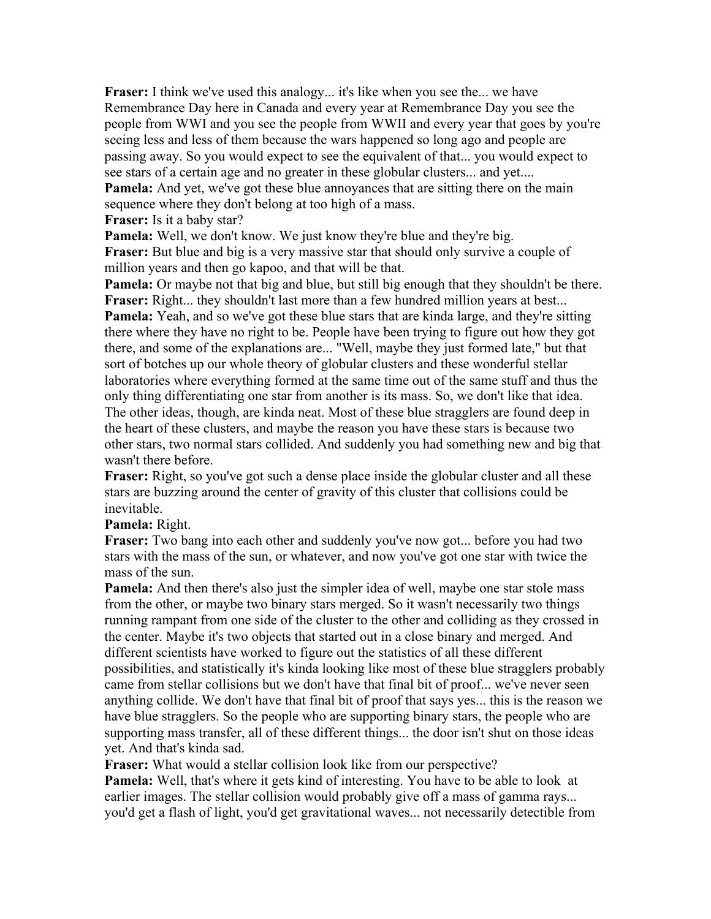**Fraser:** I think we've used this analogy... it's like when you see the... we have Remembrance Day here in Canada and every year at Remembrance Day you see the people from WWI and you see the people from WWII and every year that goes by you're seeing less and less of them because the wars happened so long ago and people are passing away. So you would expect to see the equivalent of that... you would expect to see stars of a certain age and no greater in these globular clusters... and yet.... **Pamela:** And yet, we've got these blue annoyances that are sitting there on the main sequence where they don't belong at too high of a mass.

**Fraser:** Is it a baby star?

**Pamela:** Well, we don't know. We just know they're blue and they're big. **Fraser:** But blue and big is a very massive star that should only survive a couple of million years and then go kapoo, and that will be that.

**Pamela:** Or maybe not that big and blue, but still big enough that they shouldn't be there. Fraser: Right... they shouldn't last more than a few hundred million years at best... **Pamela:** Yeah, and so we've got these blue stars that are kinda large, and they're sitting there where they have no right to be. People have been trying to figure out how they got there, and some of the explanations are... "Well, maybe they just formed late," but that sort of botches up our whole theory of globular clusters and these wonderful stellar laboratories where everything formed at the same time out of the same stuff and thus the only thing differentiating one star from another is its mass. So, we don't like that idea. The other ideas, though, are kinda neat. Most of these blue stragglers are found deep in the heart of these clusters, and maybe the reason you have these stars is because two other stars, two normal stars collided. And suddenly you had something new and big that wasn't there before.

**Fraser:** Right, so you've got such a dense place inside the globular cluster and all these stars are buzzing around the center of gravity of this cluster that collisions could be inevitable.

## **Pamela:** Right.

**Fraser:** Two bang into each other and suddenly you've now got... before you had two stars with the mass of the sun, or whatever, and now you've got one star with twice the mass of the sun.

**Pamela:** And then there's also just the simpler idea of well, maybe one star stole mass from the other, or maybe two binary stars merged. So it wasn't necessarily two things running rampant from one side of the cluster to the other and colliding as they crossed in the center. Maybe it's two objects that started out in a close binary and merged. And different scientists have worked to figure out the statistics of all these different possibilities, and statistically it's kinda looking like most of these blue stragglers probably came from stellar collisions but we don't have that final bit of proof... we've never seen anything collide. We don't have that final bit of proof that says yes... this is the reason we have blue stragglers. So the people who are supporting binary stars, the people who are supporting mass transfer, all of these different things... the door isn't shut on those ideas yet. And that's kinda sad.

**Fraser:** What would a stellar collision look like from our perspective?

**Pamela:** Well, that's where it gets kind of interesting. You have to be able to look at earlier images. The stellar collision would probably give off a mass of gamma rays... you'd get a flash of light, you'd get gravitational waves... not necessarily detectible from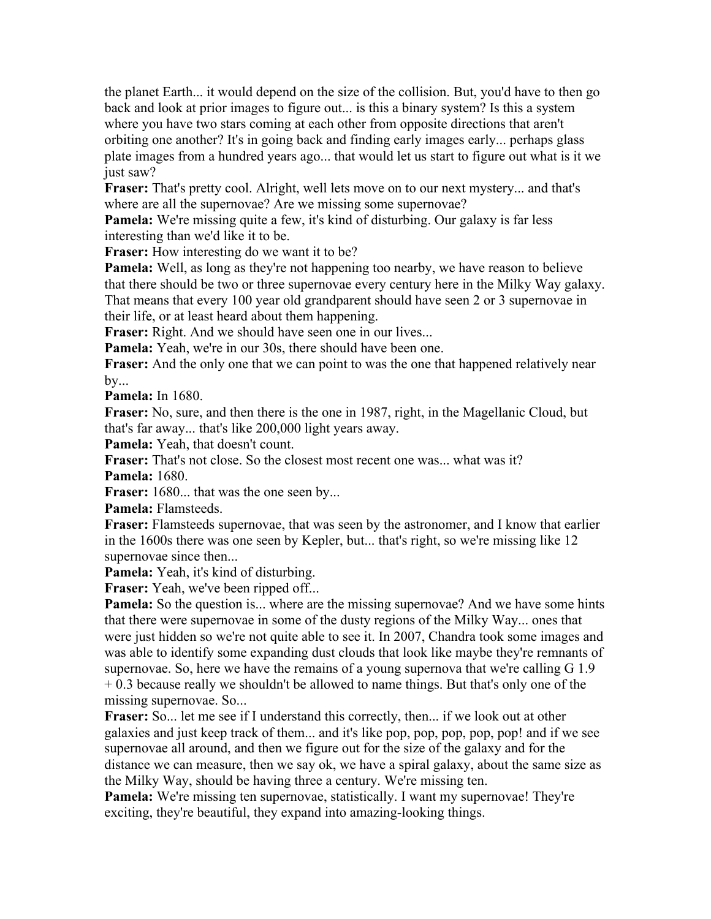the planet Earth... it would depend on the size of the collision. But, you'd have to then go back and look at prior images to figure out... is this a binary system? Is this a system where you have two stars coming at each other from opposite directions that aren't orbiting one another? It's in going back and finding early images early... perhaps glass plate images from a hundred years ago... that would let us start to figure out what is it we just saw?

**Fraser:** That's pretty cool. Alright, well lets move on to our next mystery... and that's where are all the supernovae? Are we missing some supernovae?

**Pamela:** We're missing quite a few, it's kind of disturbing. Our galaxy is far less interesting than we'd like it to be.

**Fraser:** How interesting do we want it to be?

**Pamela:** Well, as long as they're not happening too nearby, we have reason to believe that there should be two or three supernovae every century here in the Milky Way galaxy. That means that every 100 year old grandparent should have seen 2 or 3 supernovae in their life, or at least heard about them happening.

**Fraser:** Right. And we should have seen one in our lives...

**Pamela:** Yeah, we're in our 30s, there should have been one.

**Fraser:** And the only one that we can point to was the one that happened relatively near by...

**Pamela:** In 1680.

**Fraser:** No, sure, and then there is the one in 1987, right, in the Magellanic Cloud, but that's far away... that's like 200,000 light years away.

**Pamela:** Yeah, that doesn't count.

**Fraser:** That's not close. So the closest most recent one was... what was it? **Pamela:** 1680.

Fraser: 1680... that was the one seen by...

**Pamela:** Flamsteeds.

**Fraser:** Flamsteeds supernovae, that was seen by the astronomer, and I know that earlier in the 1600s there was one seen by Kepler, but... that's right, so we're missing like 12 supernovae since then...

**Pamela:** Yeah, it's kind of disturbing.

**Fraser:** Yeah, we've been ripped off...

**Pamela:** So the question is... where are the missing supernovae? And we have some hints that there were supernovae in some of the dusty regions of the Milky Way... ones that were just hidden so we're not quite able to see it. In 2007, Chandra took some images and was able to identify some expanding dust clouds that look like maybe they're remnants of supernovae. So, here we have the remains of a young supernova that we're calling G 1.9 + 0.3 because really we shouldn't be allowed to name things. But that's only one of the missing supernovae. So...

**Fraser:** So... let me see if I understand this correctly, then... if we look out at other galaxies and just keep track of them... and it's like pop, pop, pop, pop, pop! and if we see supernovae all around, and then we figure out for the size of the galaxy and for the distance we can measure, then we say ok, we have a spiral galaxy, about the same size as the Milky Way, should be having three a century. We're missing ten.

**Pamela:** We're missing ten supernovae, statistically. I want my supernovae! They're exciting, they're beautiful, they expand into amazing-looking things.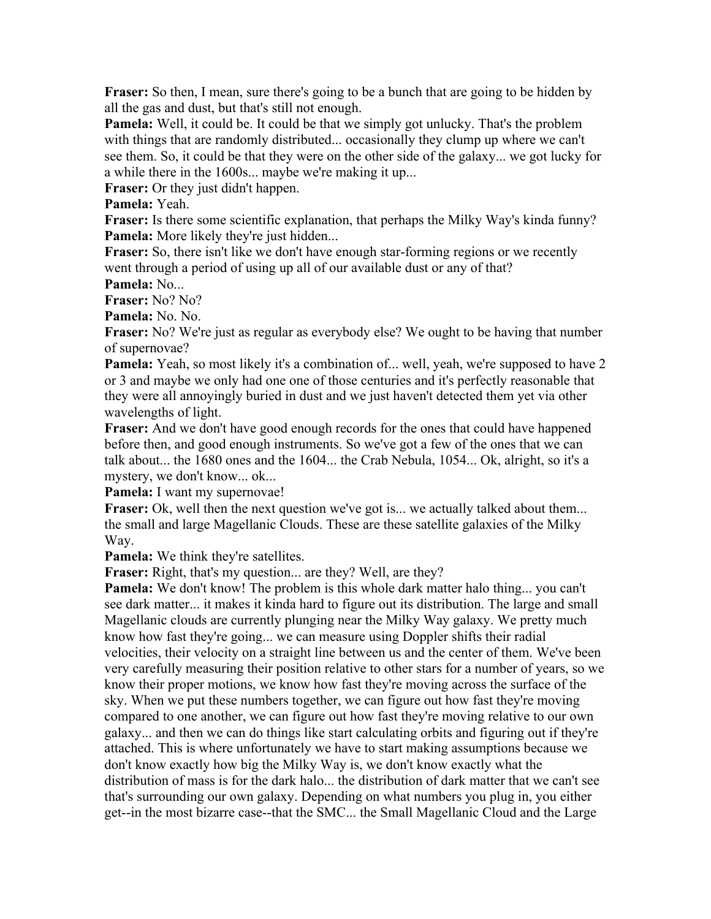**Fraser:** So then, I mean, sure there's going to be a bunch that are going to be hidden by all the gas and dust, but that's still not enough.

**Pamela:** Well, it could be. It could be that we simply got unlucky. That's the problem with things that are randomly distributed... occasionally they clump up where we can't see them. So, it could be that they were on the other side of the galaxy... we got lucky for a while there in the 1600s... maybe we're making it up...

**Fraser:** Or they just didn't happen.

**Pamela:** Yeah.

**Fraser:** Is there some scientific explanation, that perhaps the Milky Way's kinda funny? **Pamela:** More likely they're just hidden...

**Fraser:** So, there isn't like we don't have enough star-forming regions or we recently went through a period of using up all of our available dust or any of that?

**Pamela:** No...

**Fraser:** No? No?

**Pamela:** No. No.

**Fraser:** No? We're just as regular as everybody else? We ought to be having that number of supernovae?

**Pamela:** Yeah, so most likely it's a combination of... well, yeah, we're supposed to have 2 or 3 and maybe we only had one one of those centuries and it's perfectly reasonable that they were all annoyingly buried in dust and we just haven't detected them yet via other wavelengths of light.

**Fraser:** And we don't have good enough records for the ones that could have happened before then, and good enough instruments. So we've got a few of the ones that we can talk about... the 1680 ones and the 1604... the Crab Nebula, 1054... Ok, alright, so it's a mystery, we don't know... ok...

**Pamela:** I want my supernovae!

**Fraser:** Ok, well then the next question we've got is... we actually talked about them... the small and large Magellanic Clouds. These are these satellite galaxies of the Milky Way.

**Pamela:** We think they're satellites.

**Fraser:** Right, that's my question... are they? Well, are they?

**Pamela:** We don't know! The problem is this whole dark matter halo thing... you can't see dark matter... it makes it kinda hard to figure out its distribution. The large and small Magellanic clouds are currently plunging near the Milky Way galaxy. We pretty much know how fast they're going... we can measure using Doppler shifts their radial velocities, their velocity on a straight line between us and the center of them. We've been very carefully measuring their position relative to other stars for a number of years, so we know their proper motions, we know how fast they're moving across the surface of the sky. When we put these numbers together, we can figure out how fast they're moving compared to one another, we can figure out how fast they're moving relative to our own galaxy... and then we can do things like start calculating orbits and figuring out if they're attached. This is where unfortunately we have to start making assumptions because we don't know exactly how big the Milky Way is, we don't know exactly what the distribution of mass is for the dark halo... the distribution of dark matter that we can't see that's surrounding our own galaxy. Depending on what numbers you plug in, you either get--in the most bizarre case--that the SMC... the Small Magellanic Cloud and the Large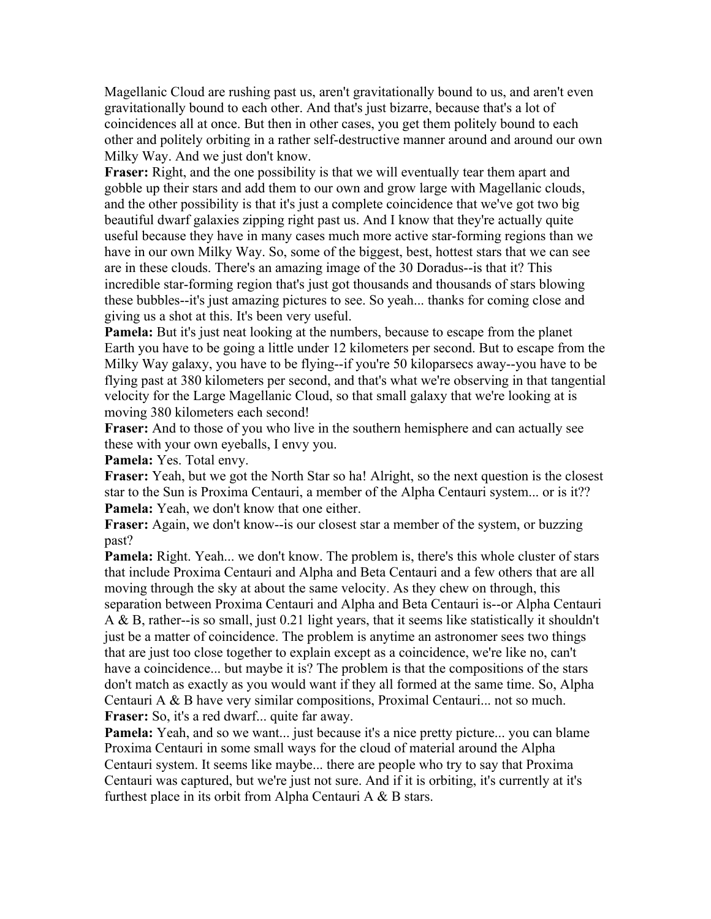Magellanic Cloud are rushing past us, aren't gravitationally bound to us, and aren't even gravitationally bound to each other. And that's just bizarre, because that's a lot of coincidences all at once. But then in other cases, you get them politely bound to each other and politely orbiting in a rather self-destructive manner around and around our own Milky Way. And we just don't know.

**Fraser:** Right, and the one possibility is that we will eventually tear them apart and gobble up their stars and add them to our own and grow large with Magellanic clouds, and the other possibility is that it's just a complete coincidence that we've got two big beautiful dwarf galaxies zipping right past us. And I know that they're actually quite useful because they have in many cases much more active star-forming regions than we have in our own Milky Way. So, some of the biggest, best, hottest stars that we can see are in these clouds. There's an amazing image of the 30 Doradus--is that it? This incredible star-forming region that's just got thousands and thousands of stars blowing these bubbles--it's just amazing pictures to see. So yeah... thanks for coming close and giving us a shot at this. It's been very useful.

**Pamela:** But it's just neat looking at the numbers, because to escape from the planet Earth you have to be going a little under 12 kilometers per second. But to escape from the Milky Way galaxy, you have to be flying--if you're 50 kiloparsecs away--you have to be flying past at 380 kilometers per second, and that's what we're observing in that tangential velocity for the Large Magellanic Cloud, so that small galaxy that we're looking at is moving 380 kilometers each second!

**Fraser:** And to those of you who live in the southern hemisphere and can actually see these with your own eyeballs, I envy you.

**Pamela:** Yes. Total envy.

**Fraser:** Yeah, but we got the North Star so ha! Alright, so the next question is the closest star to the Sun is Proxima Centauri, a member of the Alpha Centauri system... or is it?? **Pamela:** Yeah, we don't know that one either.

**Fraser:** Again, we don't know--is our closest star a member of the system, or buzzing past?

**Pamela:** Right. Yeah... we don't know. The problem is, there's this whole cluster of stars that include Proxima Centauri and Alpha and Beta Centauri and a few others that are all moving through the sky at about the same velocity. As they chew on through, this separation between Proxima Centauri and Alpha and Beta Centauri is--or Alpha Centauri A & B, rather--is so small, just 0.21 light years, that it seems like statistically it shouldn't just be a matter of coincidence. The problem is anytime an astronomer sees two things that are just too close together to explain except as a coincidence, we're like no, can't have a coincidence... but maybe it is? The problem is that the compositions of the stars don't match as exactly as you would want if they all formed at the same time. So, Alpha Centauri A & B have very similar compositions, Proximal Centauri... not so much. **Fraser:** So, it's a red dwarf... quite far away.

**Pamela:** Yeah, and so we want... just because it's a nice pretty picture... you can blame Proxima Centauri in some small ways for the cloud of material around the Alpha Centauri system. It seems like maybe... there are people who try to say that Proxima Centauri was captured, but we're just not sure. And if it is orbiting, it's currently at it's furthest place in its orbit from Alpha Centauri A & B stars.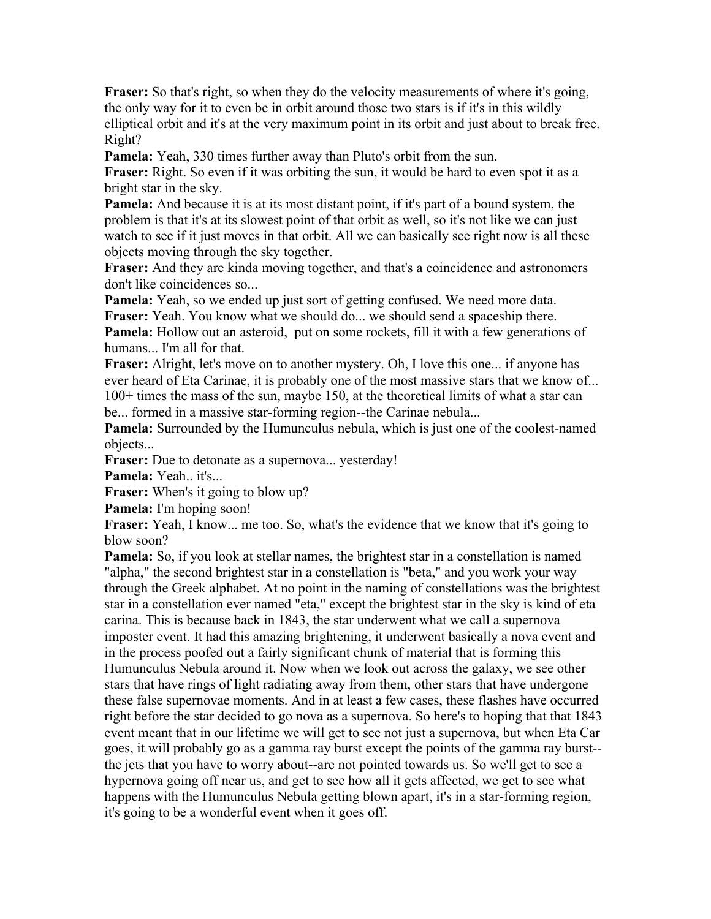**Fraser:** So that's right, so when they do the velocity measurements of where it's going, the only way for it to even be in orbit around those two stars is if it's in this wildly elliptical orbit and it's at the very maximum point in its orbit and just about to break free. Right?

**Pamela:** Yeah, 330 times further away than Pluto's orbit from the sun.

**Fraser:** Right. So even if it was orbiting the sun, it would be hard to even spot it as a bright star in the sky.

**Pamela:** And because it is at its most distant point, if it's part of a bound system, the problem is that it's at its slowest point of that orbit as well, so it's not like we can just watch to see if it just moves in that orbit. All we can basically see right now is all these objects moving through the sky together.

**Fraser:** And they are kinda moving together, and that's a coincidence and astronomers don't like coincidences so...

**Pamela:** Yeah, so we ended up just sort of getting confused. We need more data. **Fraser:** Yeah. You know what we should do... we should send a spaceship there. **Pamela:** Hollow out an asteroid, put on some rockets, fill it with a few generations of humans... I'm all for that.

**Fraser:** Alright, let's move on to another mystery. Oh, I love this one... if anyone has ever heard of Eta Carinae, it is probably one of the most massive stars that we know of... 100+ times the mass of the sun, maybe 150, at the theoretical limits of what a star can be... formed in a massive star-forming region--the Carinae nebula...

**Pamela:** Surrounded by the Humunculus nebula, which is just one of the coolest-named objects...

**Fraser:** Due to detonate as a supernova... yesterday!

**Pamela:** Yeah.. it's...

**Fraser:** When's it going to blow up?

**Pamela:** I'm hoping soon!

**Fraser:** Yeah, I know... me too. So, what's the evidence that we know that it's going to blow soon?

**Pamela:** So, if you look at stellar names, the brightest star in a constellation is named "alpha," the second brightest star in a constellation is "beta," and you work your way through the Greek alphabet. At no point in the naming of constellations was the brightest star in a constellation ever named "eta," except the brightest star in the sky is kind of eta carina. This is because back in 1843, the star underwent what we call a supernova imposter event. It had this amazing brightening, it underwent basically a nova event and in the process poofed out a fairly significant chunk of material that is forming this Humunculus Nebula around it. Now when we look out across the galaxy, we see other stars that have rings of light radiating away from them, other stars that have undergone these false supernovae moments. And in at least a few cases, these flashes have occurred right before the star decided to go nova as a supernova. So here's to hoping that that 1843 event meant that in our lifetime we will get to see not just a supernova, but when Eta Car goes, it will probably go as a gamma ray burst except the points of the gamma ray burst- the jets that you have to worry about--are not pointed towards us. So we'll get to see a hypernova going off near us, and get to see how all it gets affected, we get to see what happens with the Humunculus Nebula getting blown apart, it's in a star-forming region, it's going to be a wonderful event when it goes off.